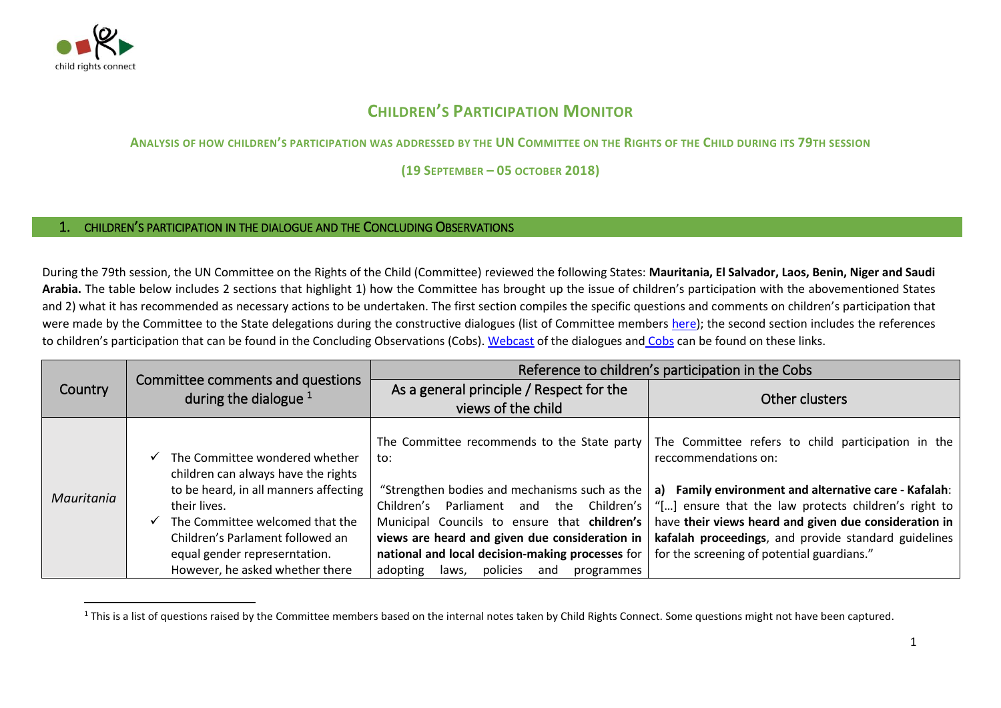

 $\overline{a}$ 

## **CHILDREN'S PARTICIPATION MONITOR**

**ANALYSIS OF HOW CHILDREN'S PARTICIPATION WAS ADDRESSED BY THE UN COMMITTEE ON THE RIGHTS OF THE CHILD DURING ITS 79TH SESSION** 

**(19 SEPTEMBER – 05 OCTOBER 2018)**

## 1. CHILDREN'S PARTICIPATION IN THE DIALOGUE AND THE CONCLUDING OBSERVATIONS

During the 79th session, the UN Committee on the Rights of the Child (Committee) reviewed the following States: **Mauritania, El Salvador, Laos, Benin, Niger and Saudi Arabia.** The table below includes 2 sections that highlight 1) how the Committee has brought up the issue of children's participation with the abovementioned States and 2) what it has recommended as necessary actions to be undertaken. The first section compiles the specific questions and comments on children's participation that were made by the Committee to the State delegations during the constructive dialogues (list of Committee members [here\)](http://www.ohchr.org/EN/HRBodies/CRC/Pages/Membership.aspx); the second section includes the references to children's participation that can be found in the Concluding Observations (Cobs). [Webcast](http://webtv.un.org/search?lan=english&cat=CRC&sort=date) of the dialogues and [Cobs](https://tbinternet.ohchr.org/_layouts/treatybodyexternal/SessionDetails1.aspx?SessionID=1222&Lang=en) can be found on these links.

|                | Committee comments and questions<br>during the dialogue $1$                                                                                                                                                                                                               | Reference to children's participation in the Cobs                                                                                                                                                                                                                                                                                                                                                              |                                                                                                                                                                                                                                                                                                              |
|----------------|---------------------------------------------------------------------------------------------------------------------------------------------------------------------------------------------------------------------------------------------------------------------------|----------------------------------------------------------------------------------------------------------------------------------------------------------------------------------------------------------------------------------------------------------------------------------------------------------------------------------------------------------------------------------------------------------------|--------------------------------------------------------------------------------------------------------------------------------------------------------------------------------------------------------------------------------------------------------------------------------------------------------------|
| <b>Country</b> |                                                                                                                                                                                                                                                                           | As a general principle / Respect for the<br>views of the child                                                                                                                                                                                                                                                                                                                                                 | Other clusters                                                                                                                                                                                                                                                                                               |
| Mauritania     | The Committee wondered whether<br>children can always have the rights<br>to be heard, in all manners affecting<br>their lives.<br>The Committee welcomed that the<br>Children's Parlament followed an<br>equal gender represerntation.<br>However, he asked whether there | The Committee recommends to the State party<br>to:<br>"Strengthen bodies and mechanisms such as the<br>and the Children's<br>Parliament<br>Children's<br>Municipal Councils to ensure that children's<br>views are heard and given due consideration in<br>mational and local decision-making processes for   for the screening of potential guardians."<br>adopting<br>policies<br>and<br>laws,<br>programmes | The Committee refers to child participation in the<br>reccommendations on:<br>a) Family environment and alternative care - Kafalah:<br>"[] ensure that the law protects children's right to<br>have their views heard and given due consideration in<br>kafalah proceedings, and provide standard guidelines |

<sup>&</sup>lt;sup>1</sup> This is a list of questions raised by the Committee members based on the internal notes taken by Child Rights Connect. Some questions might not have been captured.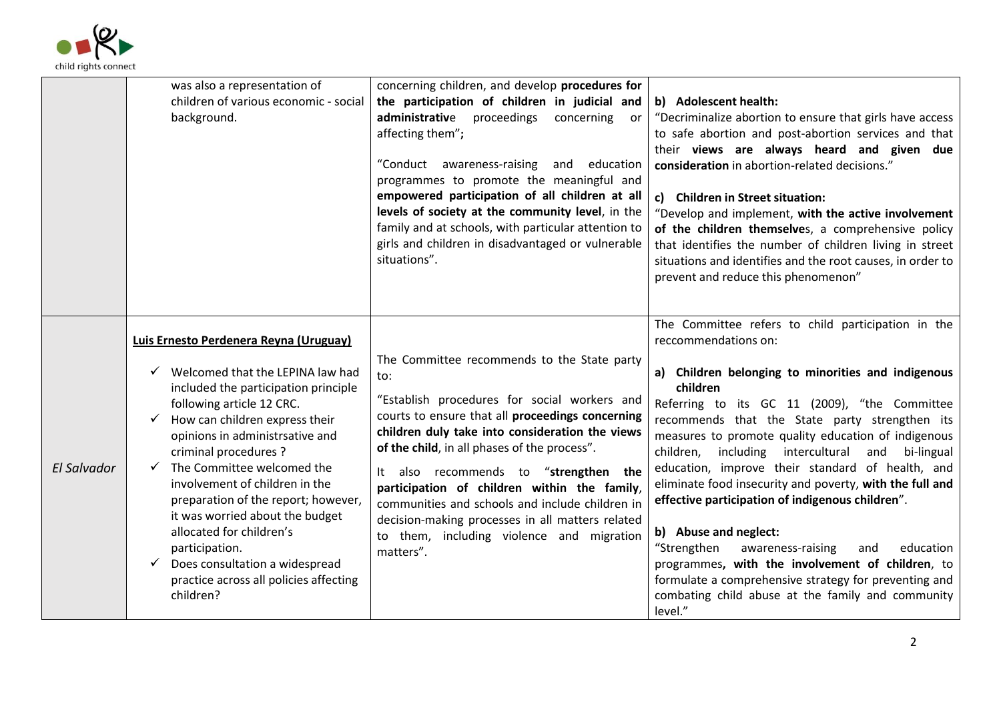

|                    | was also a representation of<br>children of various economic - social<br>background.                                                                                                                                                                                                                                                                                                                                                                                                                                                | concerning children, and develop procedures for<br>the participation of children in judicial and<br>administrative proceedings<br>concerning<br>or -<br>affecting them";<br>"Conduct awareness-raising and education<br>programmes to promote the meaningful and<br>empowered participation of all children at all<br>levels of society at the community level, in the<br>family and at schools, with particular attention to<br>girls and children in disadvantaged or vulnerable<br>situations".                     | b) Adolescent health:<br>"Decriminalize abortion to ensure that girls have access<br>to safe abortion and post-abortion services and that<br>their views are always heard and given due<br>consideration in abortion-related decisions."<br>c) Children in Street situation:<br>"Develop and implement, with the active involvement<br>of the children themselves, a comprehensive policy<br>that identifies the number of children living in street<br>situations and identifies and the root causes, in order to<br>prevent and reduce this phenomenon"                                                                                                                                                                                                                                          |
|--------------------|-------------------------------------------------------------------------------------------------------------------------------------------------------------------------------------------------------------------------------------------------------------------------------------------------------------------------------------------------------------------------------------------------------------------------------------------------------------------------------------------------------------------------------------|------------------------------------------------------------------------------------------------------------------------------------------------------------------------------------------------------------------------------------------------------------------------------------------------------------------------------------------------------------------------------------------------------------------------------------------------------------------------------------------------------------------------|----------------------------------------------------------------------------------------------------------------------------------------------------------------------------------------------------------------------------------------------------------------------------------------------------------------------------------------------------------------------------------------------------------------------------------------------------------------------------------------------------------------------------------------------------------------------------------------------------------------------------------------------------------------------------------------------------------------------------------------------------------------------------------------------------|
| <b>El Salvador</b> | Luis Ernesto Perdenera Reyna (Uruguay)<br>Welcomed that the LEPINA law had<br>included the participation principle<br>following article 12 CRC.<br>How can children express their<br>opinions in administrsative and<br>criminal procedures ?<br>The Committee welcomed the<br>✓<br>involvement of children in the<br>preparation of the report; however,<br>it was worried about the budget<br>allocated for children's<br>participation.<br>Does consultation a widespread<br>practice across all policies affecting<br>children? | The Committee recommends to the State party<br>to:<br>"Establish procedures for social workers and<br>courts to ensure that all proceedings concerning<br>children duly take into consideration the views<br>of the child, in all phases of the process".<br>also recommends to "strengthen the<br>It<br>participation of children within the family,<br>communities and schools and include children in<br>decision-making processes in all matters related<br>to them, including violence and migration<br>matters". | The Committee refers to child participation in the<br>reccommendations on:<br>a) Children belonging to minorities and indigenous<br>children<br>Referring to its GC 11 (2009), "the Committee<br>recommends that the State party strengthen its<br>measures to promote quality education of indigenous<br>children, including<br>intercultural<br>and bi-lingual<br>education, improve their standard of health, and<br>eliminate food insecurity and poverty, with the full and<br>effective participation of indigenous children".<br>b) Abuse and neglect:<br>"Strengthen<br>awareness-raising<br>education<br>and<br>programmes, with the involvement of children, to<br>formulate a comprehensive strategy for preventing and<br>combating child abuse at the family and community<br>level." |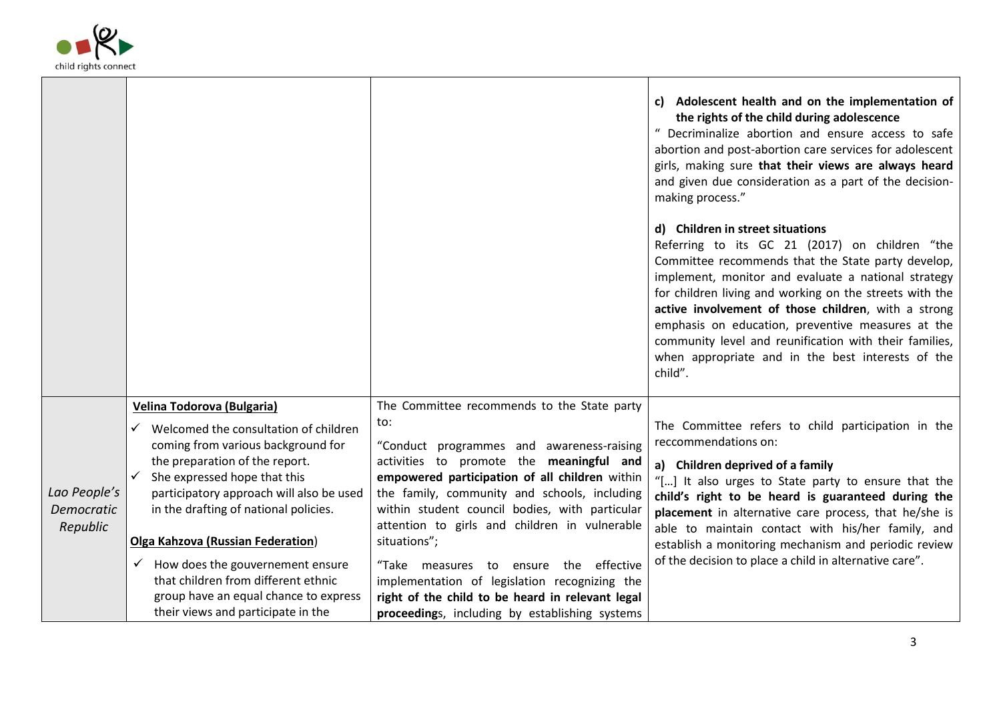

 $\blacksquare$ 

|                                               |                                                                                                                                                                                                                                                                                                                                                                                                                                                                                                 |                                                                                                                                                                                                                                                                                                                                                                                                                                                                                                                                                                   | c) Adolescent health and on the implementation of<br>the rights of the child during adolescence<br>" Decriminalize abortion and ensure access to safe<br>abortion and post-abortion care services for adolescent<br>girls, making sure that their views are always heard<br>and given due consideration as a part of the decision-<br>making process."                                                                                                                                           |
|-----------------------------------------------|-------------------------------------------------------------------------------------------------------------------------------------------------------------------------------------------------------------------------------------------------------------------------------------------------------------------------------------------------------------------------------------------------------------------------------------------------------------------------------------------------|-------------------------------------------------------------------------------------------------------------------------------------------------------------------------------------------------------------------------------------------------------------------------------------------------------------------------------------------------------------------------------------------------------------------------------------------------------------------------------------------------------------------------------------------------------------------|--------------------------------------------------------------------------------------------------------------------------------------------------------------------------------------------------------------------------------------------------------------------------------------------------------------------------------------------------------------------------------------------------------------------------------------------------------------------------------------------------|
|                                               |                                                                                                                                                                                                                                                                                                                                                                                                                                                                                                 |                                                                                                                                                                                                                                                                                                                                                                                                                                                                                                                                                                   | d) Children in street situations<br>Referring to its GC 21 (2017) on children "the<br>Committee recommends that the State party develop,<br>implement, monitor and evaluate a national strategy<br>for children living and working on the streets with the<br>active involvement of those children, with a strong<br>emphasis on education, preventive measures at the<br>community level and reunification with their families,<br>when appropriate and in the best interests of the<br>child". |
| Lao People's<br><b>Democratic</b><br>Republic | <b>Velina Todorova (Bulgaria)</b><br>Welcomed the consultation of children<br>✓<br>coming from various background for<br>the preparation of the report.<br>She expressed hope that this<br>participatory approach will also be used<br>in the drafting of national policies.<br><b>Olga Kahzova (Russian Federation)</b><br>$\checkmark$ How does the gouvernement ensure<br>that children from different ethnic<br>group have an equal chance to express<br>their views and participate in the | The Committee recommends to the State party<br>to:<br>"Conduct programmes and awareness-raising<br>activities to promote the meaningful and<br>empowered participation of all children within<br>the family, community and schools, including<br>within student council bodies, with particular<br>attention to girls and children in vulnerable<br>situations";<br>"Take measures to ensure the effective<br>implementation of legislation recognizing the<br>right of the child to be heard in relevant legal<br>proceedings, including by establishing systems | The Committee refers to child participation in the<br>reccommendations on:<br>a) Children deprived of a family<br>"[] It also urges to State party to ensure that the<br>child's right to be heard is guaranteed during the<br>placement in alternative care process, that he/she is<br>able to maintain contact with his/her family, and<br>establish a monitoring mechanism and periodic review<br>of the decision to place a child in alternative care".                                      |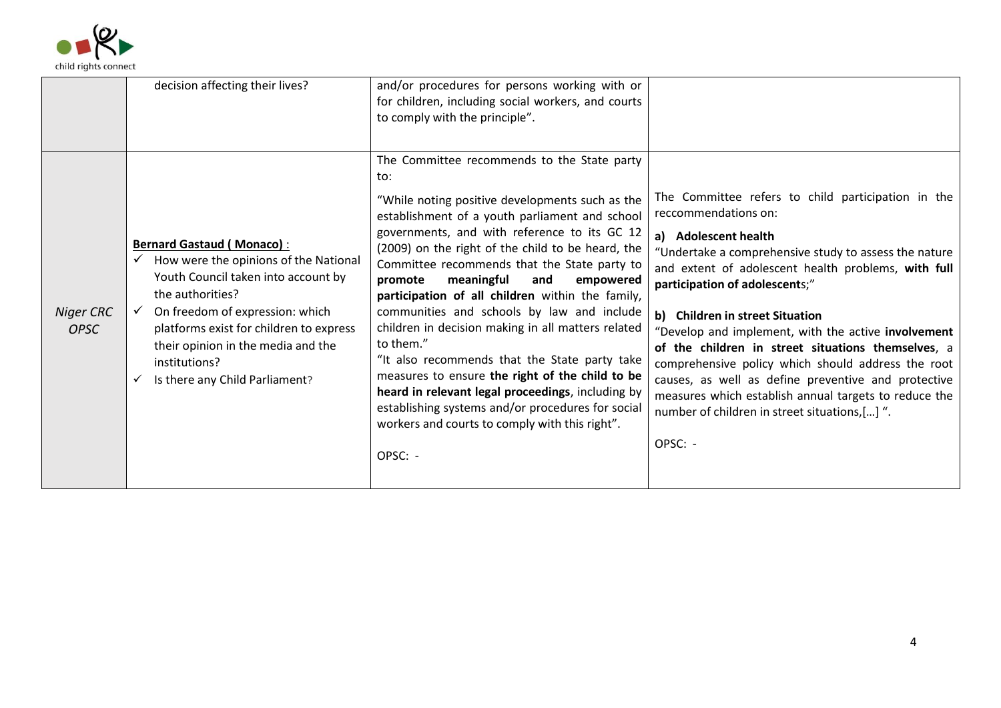

|                          | decision affecting their lives?                                                                                                                                                                                                                                                                             | and/or procedures for persons working with or<br>for children, including social workers, and courts<br>to comply with the principle".                                                                                                                                                                                                                                                                                                                                                                                                                                                                                                                                                                                                                                                                     |                                                                                                                                                                                                                                                                                                                                                                                                                                                                                                                                                                                                                                        |
|--------------------------|-------------------------------------------------------------------------------------------------------------------------------------------------------------------------------------------------------------------------------------------------------------------------------------------------------------|-----------------------------------------------------------------------------------------------------------------------------------------------------------------------------------------------------------------------------------------------------------------------------------------------------------------------------------------------------------------------------------------------------------------------------------------------------------------------------------------------------------------------------------------------------------------------------------------------------------------------------------------------------------------------------------------------------------------------------------------------------------------------------------------------------------|----------------------------------------------------------------------------------------------------------------------------------------------------------------------------------------------------------------------------------------------------------------------------------------------------------------------------------------------------------------------------------------------------------------------------------------------------------------------------------------------------------------------------------------------------------------------------------------------------------------------------------------|
| Niger CRC<br><b>OPSC</b> | <b>Bernard Gastaud (Monaco):</b><br>How were the opinions of the National<br>Youth Council taken into account by<br>the authorities?<br>On freedom of expression: which<br>platforms exist for children to express<br>their opinion in the media and the<br>institutions?<br>Is there any Child Parliament? | The Committee recommends to the State party<br>to:<br>"While noting positive developments such as the<br>establishment of a youth parliament and school<br>governments, and with reference to its GC 12<br>(2009) on the right of the child to be heard, the<br>Committee recommends that the State party to<br>meaningful<br>promote<br>and<br>empowered<br>participation of all children within the family,<br>communities and schools by law and include<br>children in decision making in all matters related<br>to them."<br>"It also recommends that the State party take<br>measures to ensure the right of the child to be<br>heard in relevant legal proceedings, including by<br>establishing systems and/or procedures for social<br>workers and courts to comply with this right".<br>OPSC: - | The Committee refers to child participation in the<br>reccommendations on:<br>a) Adolescent health<br>"Undertake a comprehensive study to assess the nature<br>and extent of adolescent health problems, with full<br>participation of adolescents;"<br>b) Children in street Situation<br>"Develop and implement, with the active involvement<br>of the children in street situations themselves, a<br>comprehensive policy which should address the root<br>causes, as well as define preventive and protective<br>measures which establish annual targets to reduce the<br>number of children in street situations,[] ".<br>OPSC: - |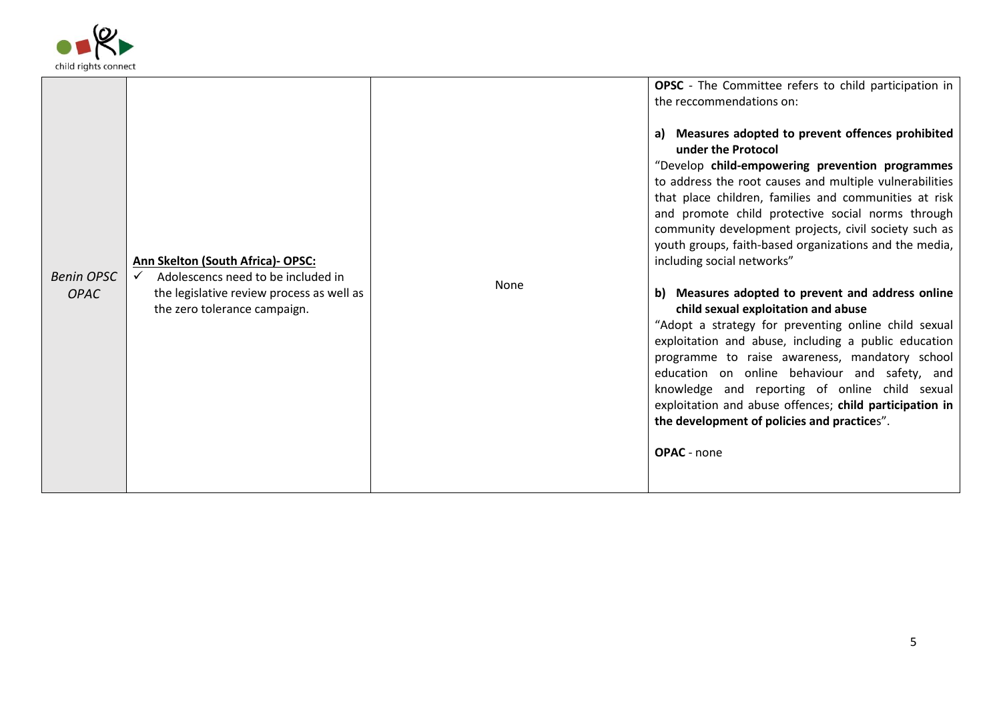

| <b>Benin OPSC</b><br><b>OPAC</b> | Ann Skelton (South Africa)- OPSC:<br>Adolescencs need to be included in<br>the legislative review process as well as<br>the zero tolerance campaign. | None | <b>OPSC</b> - The Committee refers to child participation in<br>the reccommendations on:<br>a) Measures adopted to prevent offences prohibited<br>under the Protocol<br>"Develop child-empowering prevention programmes<br>to address the root causes and multiple vulnerabilities<br>that place children, families and communities at risk<br>and promote child protective social norms through<br>community development projects, civil society such as<br>youth groups, faith-based organizations and the media,<br>including social networks"<br>b) Measures adopted to prevent and address online<br>child sexual exploitation and abuse<br>"Adopt a strategy for preventing online child sexual<br>exploitation and abuse, including a public education<br>programme to raise awareness, mandatory school<br>education on online behaviour and safety, and<br>knowledge and reporting of online child sexual<br>exploitation and abuse offences; child participation in<br>the development of policies and practices".<br><b>OPAC</b> - none |
|----------------------------------|------------------------------------------------------------------------------------------------------------------------------------------------------|------|----------------------------------------------------------------------------------------------------------------------------------------------------------------------------------------------------------------------------------------------------------------------------------------------------------------------------------------------------------------------------------------------------------------------------------------------------------------------------------------------------------------------------------------------------------------------------------------------------------------------------------------------------------------------------------------------------------------------------------------------------------------------------------------------------------------------------------------------------------------------------------------------------------------------------------------------------------------------------------------------------------------------------------------------------|
|                                  |                                                                                                                                                      |      |                                                                                                                                                                                                                                                                                                                                                                                                                                                                                                                                                                                                                                                                                                                                                                                                                                                                                                                                                                                                                                                    |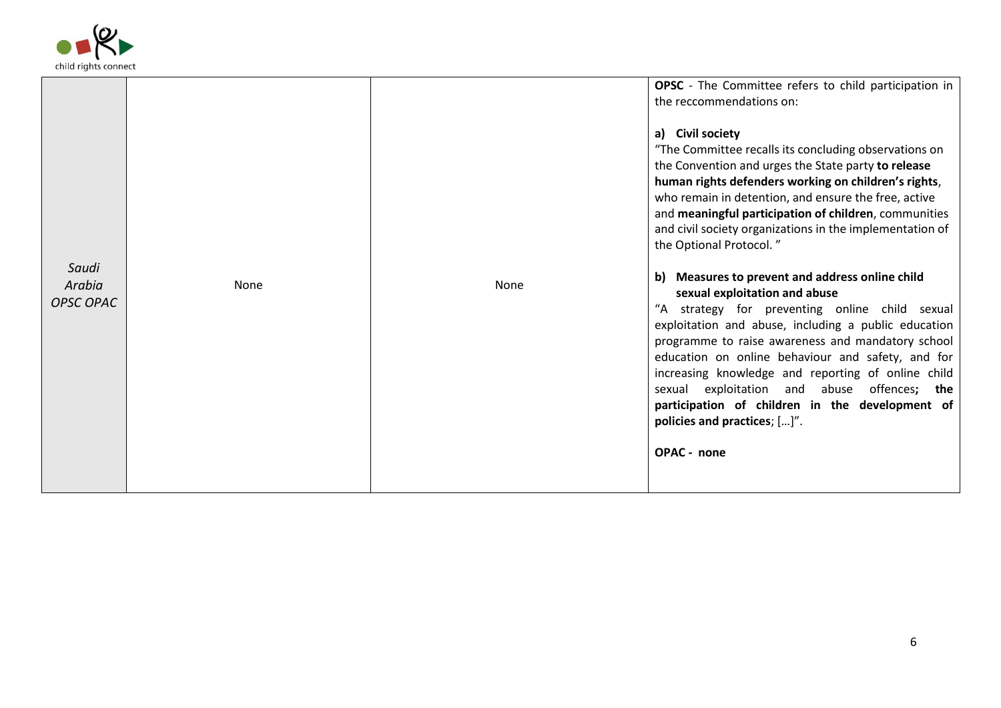

|                              |             |      | OPSC - The Committee refers to child participation in<br>the reccommendations on:<br>a) Civil society<br>"The Committee recalls its concluding observations on<br>the Convention and urges the State party to release<br>human rights defenders working on children's rights,<br>who remain in detention, and ensure the free, active<br>and meaningful participation of children, communities<br>and civil society organizations in the implementation of                                                                             |
|------------------------------|-------------|------|----------------------------------------------------------------------------------------------------------------------------------------------------------------------------------------------------------------------------------------------------------------------------------------------------------------------------------------------------------------------------------------------------------------------------------------------------------------------------------------------------------------------------------------|
| Saudi<br>Arabia<br>OPSC OPAC | <b>None</b> | None | the Optional Protocol."<br>b) Measures to prevent and address online child<br>sexual exploitation and abuse<br>"A strategy for preventing online child sexual<br>exploitation and abuse, including a public education<br>programme to raise awareness and mandatory school<br>education on online behaviour and safety, and for<br>increasing knowledge and reporting of online child<br>sexual exploitation and abuse offences; the<br>participation of children in the development of<br>policies and practices; []".<br>OPAC - none |